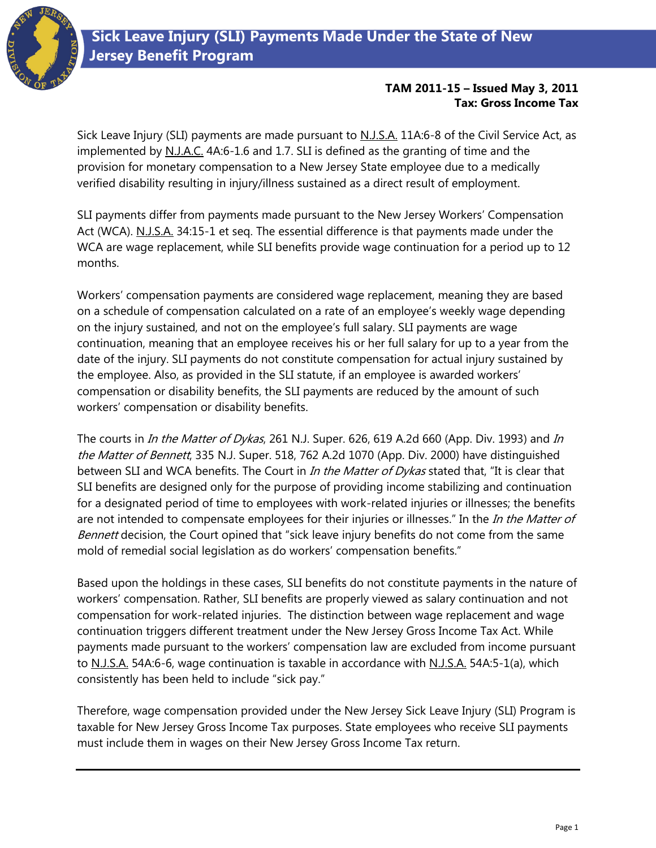

Sick Leave Injury (SLI) payments are made pursuant to N.J.S.A. 11A:6-8 of the Civil Service Act, as implemented by N.J.A.C. 4A:6-1.6 and 1.7. SLI is defined as the granting of time and the provision for monetary compensation to a New Jersey State employee due to a medically verified disability resulting in injury/illness sustained as a direct result of employment.

SLI payments differ from payments made pursuant to the New Jersey Workers' Compensation Act (WCA). N.J.S.A. 34:15-1 et seq. The essential difference is that payments made under the WCA are wage replacement, while SLI benefits provide wage continuation for a period up to 12 months.

Workers' compensation payments are considered wage replacement, meaning they are based on a schedule of compensation calculated on a rate of an employee's weekly wage depending on the injury sustained, and not on the employee's full salary. SLI payments are wage continuation, meaning that an employee receives his or her full salary for up to a year from the date of the injury. SLI payments do not constitute compensation for actual injury sustained by the employee. Also, as provided in the SLI statute, if an employee is awarded workers' compensation or disability benefits, the SLI payments are reduced by the amount of such workers' compensation or disability benefits.

The courts in *In the Matter of Dykas*, 261 N.J. Super. 626, 619 A.2d 660 (App. Div. 1993) and *In* the Matter of Bennett, 335 N.J. Super. 518, 762 A.2d 1070 (App. Div. 2000) have distinguished between SLI and WCA benefits. The Court in *In the Matter of Dykas* stated that, "It is clear that SLI benefits are designed only for the purpose of providing income stabilizing and continuation for a designated period of time to employees with work-related injuries or illnesses; the benefits are not intended to compensate employees for their injuries or illnesses." In the In the Matter of Bennett decision, the Court opined that "sick leave injury benefits do not come from the same mold of remedial social legislation as do workers' compensation benefits."

Based upon the holdings in these cases, SLI benefits do not constitute payments in the nature of workers' compensation. Rather, SLI benefits are properly viewed as salary continuation and not compensation for work-related injuries. The distinction between wage replacement and wage continuation triggers different treatment under the New Jersey Gross Income Tax Act. While payments made pursuant to the workers' compensation law are excluded from income pursuant to N.J.S.A. 54A:6-6, wage continuation is taxable in accordance with N.J.S.A. 54A:5-1(a), which consistently has been held to include "sick pay."

Therefore, wage compensation provided under the New Jersey Sick Leave Injury (SLI) Program is taxable for New Jersey Gross Income Tax purposes. State employees who receive SLI payments must include them in wages on their New Jersey Gross Income Tax return.